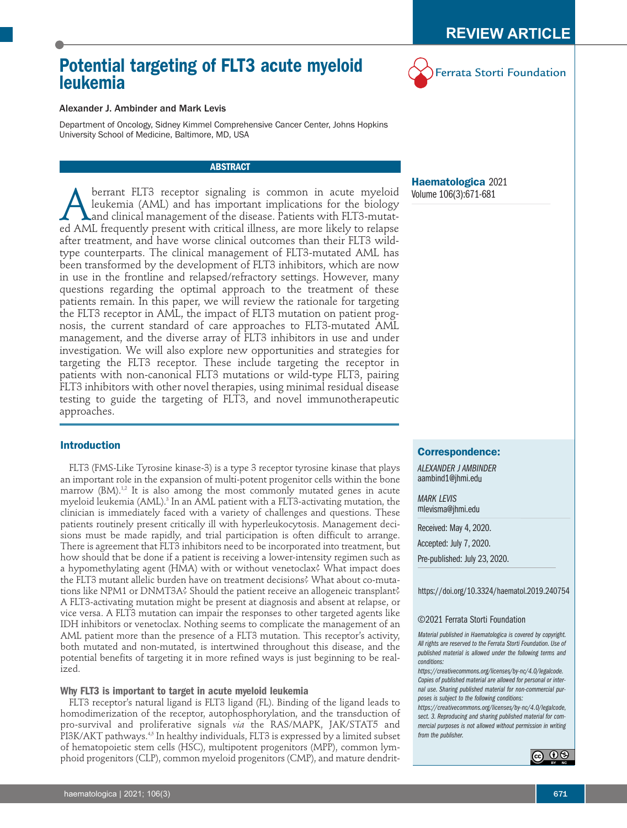# **Potential targeting of FLT3 acute myeloid leukemia**



# Alexander J. Ambinder and Mark Levis

Department of Oncology, Sidney Kimmel Comprehensive Cancer Center, Johns Hopkins University School of Medicine, Baltimore, MD, USA

# **ABSTRACT**

**A** berrant FLT3 receptor signaling is common in acute myeloid<br>leukemia (AML) and has important implications for the biology<br>ed AML frequently present with critical illness, are more likely to relapse leukemia (AML) and has important implications for the biology and clinical management of the disease. Patients with FLT3-mutated AML frequently present with critical illness, are more likely to relapse after treatment, and have worse clinical outcomes than their FLT3 wildtype counterparts. The clinical management of FLT3-mutated AML has been transformed by the development of FLT3 inhibitors, which are now in use in the frontline and relapsed/refractory settings. However, many questions regarding the optimal approach to the treatment of these patients remain. In this paper, we will review the rationale for targeting the FLT3 receptor in AML, the impact of FLT3 mutation on patient prognosis, the current standard of care approaches to FLT3-mutated AML management, and the diverse array of FLT3 inhibitors in use and under investigation. We will also explore new opportunities and strategies for targeting the FLT3 receptor. These include targeting the receptor in patients with non-canonical FLT3 mutations or wild-type FLT3, pairing FLT3 inhibitors with other novel therapies, using minimal residual disease testing to guide the targeting of FLT3, and novel immunotherapeutic approaches.

# **Introduction**

FLT3 (FMS-Like Tyrosine kinase-3) is a type 3 receptor tyrosine kinase that plays an important role in the expansion of multi-potent progenitor cells within the bone marrow (BM).<sup>1,2</sup> It is also among the most commonly mutated genes in acute myeloid leukemia (AML). <sup>3</sup> In an AML patient with a FLT3-activating mutation, the clinician is immediately faced with a variety of challenges and questions. These patients routinely present critically ill with hyperleukocytosis. Management decisions must be made rapidly, and trial participation is often difficult to arrange. There is agreement that FLT3 inhibitors need to be incorporated into treatment, but how should that be done if a patient is receiving a lower-intensity regimen such as a hypomethylating agent (HMA) with or without venetoclax? What impact does the FLT3 mutant allelic burden have on treatment decisions? What about co-mutations like NPM1 or DNMT3A? Should the patient receive an allogeneic transplant? A FLT3-activating mutation might be present at diagnosis and absent at relapse, or vice versa. A FLT3 mutation can impair the responses to other targeted agents like IDH inhibitors or venetoclax. Nothing seems to complicate the management of an AML patient more than the presence of a FLT3 mutation. This receptor's activity, both mutated and non-mutated, is intertwined throughout this disease, and the potential benefits of targeting it in more refined ways is just beginning to be realized.

# **Why FLT3 is important to target in acute myeloid leukemia**

FLT3 receptor's natural ligand is FLT3 ligand (FL). Binding of the ligand leads to homodimerization of the receptor, autophosphorylation, and the transduction of pro-survival and proliferative signals *via* the RAS/MAPK, JAK/STAT5 and PI3K/AKT pathways. 4,5 In healthy individuals, FLT3 is expressed by a limited subset of hematopoietic stem cells (HSC), multipotent progenitors (MPP), common lymphoid progenitors (CLP), common myeloid progenitors (CMP), and mature dendrit-

**Haematologica** 2021 Volume 106(3):671-681

# **Correspondence:**

*ALEXANDER J AMBINDER* aambind1@jhmi.edu

*MARK LEVIS* mlevisma@jhmi.edu

Received: May 4, 2020. Accepted: July 7, 2020. Pre-published: July 23, 2020.

https://doi.org/10.3324/haematol.2019.240754

## ©2021 Ferrata Storti Foundation

*Material published in Haematologica is covered by copyright. All rights are reserved to the Ferrata Storti Foundation. Use of published material is allowed under the following terms and conditions:*

*https://creativecommons.org/licenses/by-nc/4.0/legalcode. Copies of published material are allowed for personal or internal use. Sharing published material for non-commercial purposes is subject to the following conditions:*

*https://creativecommons.org/licenses/by-nc/4.0/legalcode, sect. 3. Reproducing and sharing published material for commercial purposes is not allowed without permission in writing from the publisher.*

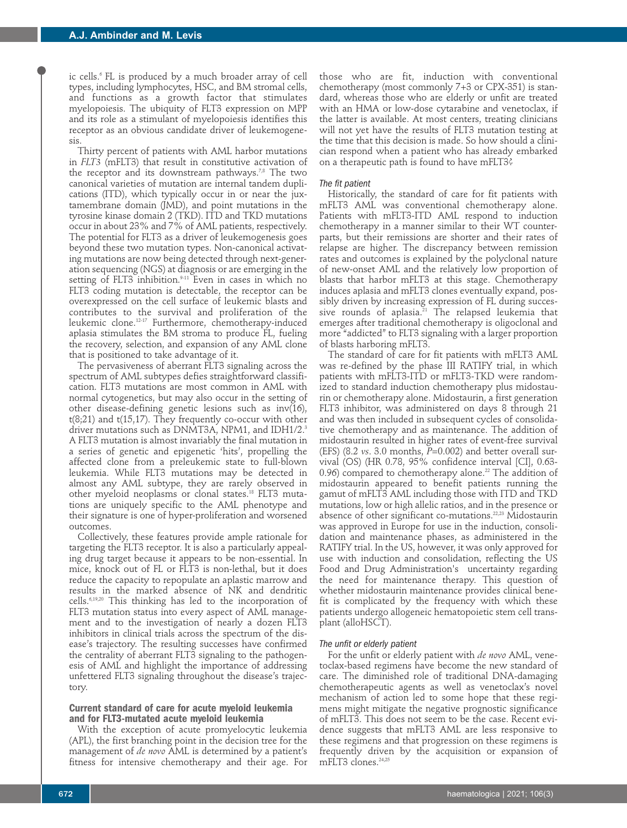ic cells. <sup>6</sup> FL is produced by a much broader array of cell types, including lymphocytes, HSC, and BM stromal cells, and functions as a growth factor that stimulates myelopoiesis. The ubiquity of FLT3 expression on MPP and its role as a stimulant of myelopoiesis identifies this receptor as an obvious candidate driver of leukemogenesis.

Thirty percent of patients with AML harbor mutations in *FLT3* (mFLT3) that result in constitutive activation of the receptor and its downstream pathways.'<sup>,8</sup> The two canonical varieties of mutation are internal tandem duplications (ITD), which typically occur in or near the juxtamembrane domain (JMD), and point mutations in the tyrosine kinase domain 2 (TKD). ITD and TKD mutations occur in about 23% and 7% of AML patients, respectively. The potential for FLT3 as a driver of leukemogenesis goes beyond these two mutation types. Non-canonical activating mutations are now being detected through next-generation sequencing (NGS) at diagnosis or are emerging in the setting of FLT3 inhibition. 9-11 Even in cases in which no FLT3 coding mutation is detectable, the receptor can be overexpressed on the cell surface of leukemic blasts and contributes to the survival and proliferation of the leukemic clone. 12-17 Furthermore, chemotherapy-induced aplasia stimulates the BM stroma to produce FL, fueling the recovery, selection, and expansion of any AML clone that is positioned to take advantage of it.

The pervasiveness of aberrant FLT3 signaling across the spectrum of AML subtypes defies straightforward classification. FLT3 mutations are most common in AML with normal cytogenetics, but may also occur in the setting of other disease-defining genetic lesions such as inv(16), t(8;21) and t(15,17). They frequently co-occur with other driver mutations such as DNMT3A, NPM1, and IDH1/2. 3 A FLT3 mutation is almost invariably the final mutation in a series of genetic and epigenetic 'hits', propelling the affected clone from a preleukemic state to full-blown leukemia. While FLT3 mutations may be detected in almost any AML subtype, they are rarely observed in other myeloid neoplasms or clonal states. <sup>18</sup> FLT3 mutations are uniquely specific to the AML phenotype and their signature is one of hyper-proliferation and worsened outcomes.

Collectively, these features provide ample rationale for targeting the FLT3 receptor. It is also a particularly appealing drug target because it appears to be non-essential. In mice, knock out of FL or FLT3 is non-lethal, but it does reduce the capacity to repopulate an aplastic marrow and results in the marked absence of NK and dendritic cells. 6,19,20 This thinking has led to the incorporation of FLT3 mutation status into every aspect of AML management and to the investigation of nearly a dozen FLT3 inhibitors in clinical trials across the spectrum of the disease's trajectory. The resulting successes have confirmed the centrality of aberrant FLT3 signaling to the pathogenesis of AML and highlight the importance of addressing unfettered FLT3 signaling throughout the disease's trajectory.

# **Current standard of care for acute myeloid leukemia and for FLT3-mutated acute myeloid leukemia**

With the exception of acute promyelocytic leukemia (APL), the first branching point in the decision tree for the management of *de novo* AML is determined by a patient's fitness for intensive chemotherapy and their age. For

those who are fit, induction with conventional chemotherapy (most commonly 7+3 or CPX-351) is standard, whereas those who are elderly or unfit are treated with an HMA or low-dose cytarabine and venetoclax, if the latter is available. At most centers, treating clinicians will not yet have the results of FLT3 mutation testing at the time that this decision is made. So how should a clinician respond when a patient who has already embarked on a therapeutic path is found to have mFLT3?

## *The fit patient*

Historically, the standard of care for fit patients with mFLT3 AML was conventional chemotherapy alone. Patients with mFLT3-ITD AML respond to induction chemotherapy in a manner similar to their WT counterparts, but their remissions are shorter and their rates of relapse are higher. The discrepancy between remission rates and outcomes is explained by the polyclonal nature of new-onset AML and the relatively low proportion of blasts that harbor mFLT3 at this stage. Chemotherapy induces aplasia and mFLT3 clones eventually expand, possibly driven by increasing expression of FL during successive rounds of aplasia. <sup>21</sup> The relapsed leukemia that emerges after traditional chemotherapy is oligoclonal and more "addicted" to FLT3 signaling with a larger proportion of blasts harboring mFLT3.

The standard of care for fit patients with mFLT3 AML was re-defined by the phase III RATIFY trial, in which patients with mFLT3-ITD or mFLT3-TKD were randomized to standard induction chemotherapy plus midostaurin or chemotherapy alone. Midostaurin, a first generation FLT3 inhibitor, was administered on days 8 through 21 and was then included in subsequent cycles of consolidative chemotherapy and as maintenance. The addition of midostaurin resulted in higher rates of event-free survival (EFS) (8.2 *vs*. 3.0 months, *P*=0.002) and better overall survival (OS) (HR 0.78, 95% confidence interval [CI], 0.63- 0.96) compared to chemotherapy alone. <sup>22</sup> The addition of midostaurin appeared to benefit patients running the gamut of mFLT3 AML including those with ITD and TKD mutations, low or high allelic ratios, and in the presence or absence of other significant co-mutations. 22,23 Midostaurin was approved in Europe for use in the induction, consolidation and maintenance phases, as administered in the RATIFY trial. In the US, however, it was only approved for use with induction and consolidation, reflecting the US Food and Drug Administration's uncertainty regarding the need for maintenance therapy. This question of whether midostaurin maintenance provides clinical benefit is complicated by the frequency with which these patients undergo allogeneic hematopoietic stem cell transplant (alloHSCT).

## *The unfit or elderly patient*

For the unfit or elderly patient with *de novo* AML, venetoclax-based regimens have become the new standard of care. The diminished role of traditional DNA-damaging chemotherapeutic agents as well as venetoclax's novel mechanism of action led to some hope that these regimens might mitigate the negative prognostic significance of mFLT3. This does not seem to be the case. Recent evidence suggests that mFLT3 AML are less responsive to these regimens and that progression on these regimens is frequently driven by the acquisition or expansion of mFLT3 clones. 24,25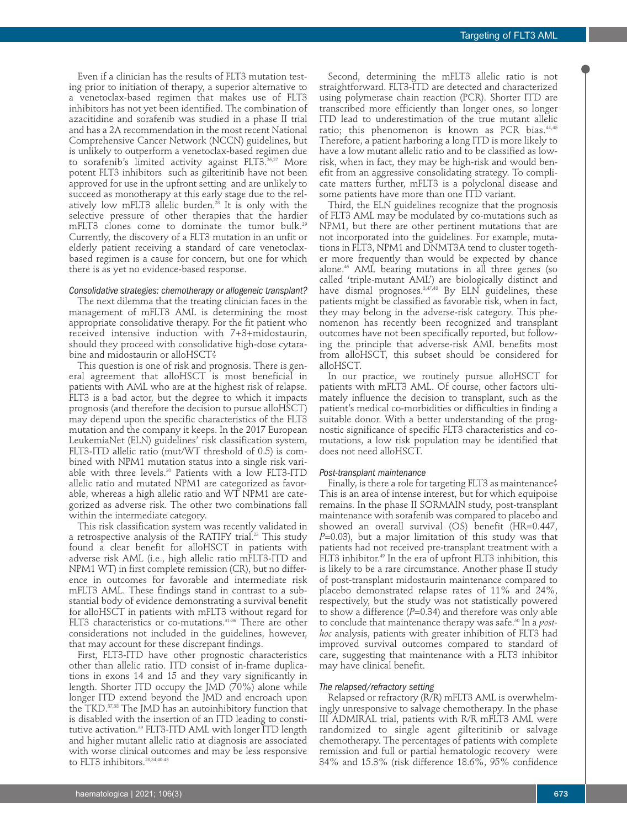Even if a clinician has the results of FLT3 mutation testing prior to initiation of therapy, a superior alternative to a venetoclax-based regimen that makes use of FLT3 inhibitors has not yet been identified. The combination of azacitidine and sorafenib was studied in a phase II trial and has a 2A recommendation in the most recent National Comprehensive Cancer Network (NCCN) guidelines, but is unlikely to outperform a venetoclax-based regimen due to sorafenib's limited activity against FLT3. 26,27 More potent FLT3 inhibitors such as gilteritinib have not been approved for use in the upfront setting and are unlikely to succeed as monotherapy at this early stage due to the relatively low mFLT3 allelic burden. <sup>28</sup> It is only with the selective pressure of other therapies that the hardier mFLT3 clones come to dominate the tumor bulk. 29 Currently, the discovery of a FLT3 mutation in an unfit or elderly patient receiving a standard of care venetoclaxbased regimen is a cause for concern, but one for which there is as yet no evidence-based response.

# *Consolidative strategies: chemotherapy or allogeneic transplant?*

The next dilemma that the treating clinician faces in the management of mFLT3 AML is determining the most appropriate consolidative therapy. For the fit patient who received intensive induction with 7+3+midostaurin, should they proceed with consolidative high-dose cytarabine and midostaurin or alloHSCT?

This question is one of risk and prognosis. There is general agreement that alloHSCT is most beneficial in patients with AML who are at the highest risk of relapse. FLT3 is a bad actor, but the degree to which it impacts prognosis (and therefore the decision to pursue alloHSCT) may depend upon the specific characteristics of the FLT3 mutation and the company it keeps. In the 2017 European LeukemiaNet (ELN) guidelines' risk classification system, FLT3-ITD allelic ratio (mut/WT threshold of 0.5) is combined with NPM1 mutation status into a single risk variable with three levels. <sup>30</sup> Patients with a low FLT3-ITD allelic ratio and mutated NPM1 are categorized as favorable, whereas a high allelic ratio and WT NPM1 are categorized as adverse risk. The other two combinations fall within the intermediate category.

This risk classification system was recently validated in a retrospective analysis of the RATIFY trial. <sup>23</sup> This study found a clear benefit for alloHSCT in patients with adverse risk AML (i.e., high allelic ratio mFLT3-ITD and NPM1 WT) in first complete remission (CR), but no difference in outcomes for favorable and intermediate risk mFLT3 AML. These findings stand in contrast to a substantial body of evidence demonstrating a survival benefit for alloHSCT in patients with mFLT3 without regard for FLT3 characteristics or co-mutations. 31-36 There are other considerations not included in the guidelines, however, that may account for these discrepant findings.

First, FLT3-ITD have other prognostic characteristics other than allelic ratio. ITD consist of in-frame duplications in exons 14 and 15 and they vary significantly in length. Shorter ITD occupy the JMD  $(70\%)$  alone while longer ITD extend beyond the JMD and encroach upon the TKD. 37,38 The JMD has an autoinhibitory function that is disabled with the insertion of an ITD leading to constitutive activation. <sup>39</sup> FLT3-ITD AML with longer ITD length and higher mutant allelic ratio at diagnosis are associated with worse clinical outcomes and may be less responsive to FLT3 inhibitors. 28,34,40-43

Second, determining the mFLT3 allelic ratio is not straightforward. FLT3-ITD are detected and characterized using polymerase chain reaction (PCR). Shorter ITD are transcribed more efficiently than longer ones, so longer ITD lead to underestimation of the true mutant allelic ratio; this phenomenon is known as PCR bias. 44,45 Therefore, a patient harboring a long ITD is more likely to have a low mutant allelic ratio and to be classified as lowrisk, when in fact, they may be high-risk and would benefit from an aggressive consolidating strategy. To complicate matters further, mFLT3 is a polyclonal disease and some patients have more than one ITD variant.

Third, the ELN guidelines recognize that the prognosis of FLT3 AML may be modulated by co-mutations such as NPM1, but there are other pertinent mutations that are not incorporated into the guidelines. For example, mutations in FLT3, NPM1 and DNMT3A tend to cluster together more frequently than would be expected by chance alone. <sup>46</sup> AML bearing mutations in all three genes (so called 'triple-mutant AML') are biologically distinct and have dismal prognoses. 3,47,48 By ELN guidelines, these patients might be classified as favorable risk, when in fact, they may belong in the adverse-risk category. This phenomenon has recently been recognized and transplant outcomes have not been specifically reported, but following the principle that adverse-risk AML benefits most from alloHSCT, this subset should be considered for alloHSCT.

In our practice, we routinely pursue alloHSCT for patients with mFLT3 AML. Of course, other factors ultimately influence the decision to transplant, such as the patient's medical co-morbidities or difficulties in finding a suitable donor. With a better understanding of the prognostic significance of specific FLT3 characteristics and comutations, a low risk population may be identified that does not need alloHSCT.

## *Post-transplant maintenance*

Finally, is there a role for targeting FLT3 as maintenance? This is an area of intense interest, but for which equipoise remains. In the phase II SORMAIN study, post-transplant maintenance with sorafenib was compared to placebo and showed an overall survival (OS) benefit (HR=0.447, *P*=0.03), but a major limitation of this study was that patients had not received pre-transplant treatment with a FLT3 inhibitor. <sup>49</sup> In the era of upfront FLT3 inhibition, this is likely to be a rare circumstance. Another phase II study of post-transplant midostaurin maintenance compared to placebo demonstrated relapse rates of 11% and 24%, respectively, but the study was not statistically powered to show a difference  $(P=0.34)$  and therefore was only able to conclude that maintenance therapy was safe. <sup>50</sup> In a *posthoc* analysis, patients with greater inhibition of FLT3 had improved survival outcomes compared to standard of care, suggesting that maintenance with a FLT3 inhibitor may have clinical benefit.

## *The relapsed/refractory setting*

Relapsed or refractory (R/R) mFLT3 AML is overwhelmingly unresponsive to salvage chemotherapy. In the phase III ADMIRAL trial, patients with R/R mFLT3 AML were randomized to single agent gilteritinib or salvage chemotherapy. The percentages of patients with complete remission and full or partial hematologic recovery were 34% and 15.3% (risk difference 18.6%, 95% confidence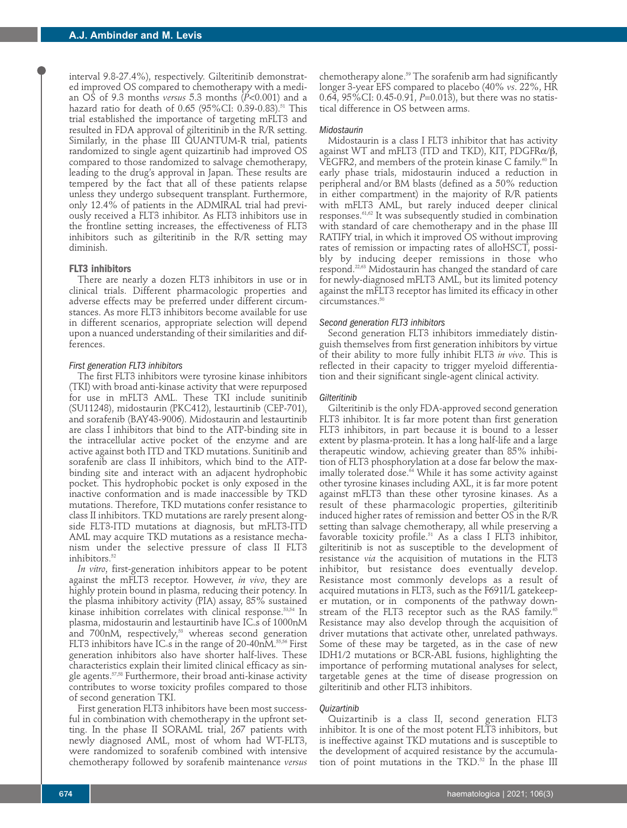interval 9.8-27.4%), respectively. Gilteritinib demonstrated improved OS compared to chemotherapy with a median OS of 9.3 months *versus* 5.3 months (*P*<0.001) and a hazard ratio for death of 0.65 (95%CI: 0.39-0.83). <sup>51</sup> This trial established the importance of targeting mFLT3 and resulted in FDA approval of gilteritinib in the R/R setting. Similarly, in the phase III QUANTUM-R trial, patients randomized to single agent quizartinib had improved OS compared to those randomized to salvage chemotherapy, leading to the drug's approval in Japan. These results are tempered by the fact that all of these patients relapse unless they undergo subsequent transplant. Furthermore, only 12.4% of patients in the ADMIRAL trial had previously received a FLT3 inhibitor. As FLT3 inhibitors use in the frontline setting increases, the effectiveness of FLT3 inhibitors such as gilteritinib in the R/R setting may diminish.

# **FLT3 inhibitors**

There are nearly a dozen FLT3 inhibitors in use or in clinical trials. Different pharmacologic properties and adverse effects may be preferred under different circumstances. As more FLT3 inhibitors become available for use in different scenarios, appropriate selection will depend upon a nuanced understanding of their similarities and differences.

#### *First generation FLT3 inhibitors*

The first FLT3 inhibitors were tyrosine kinase inhibitors (TKI) with broad anti-kinase activity that were repurposed for use in mFLT3 AML. These TKI include sunitinib (SU11248), midostaurin (PKC412), lestaurtinib (CEP-701), and sorafenib (BAY43-9006). Midostaurin and lestaurtinib are class I inhibitors that bind to the ATP-binding site in the intracellular active pocket of the enzyme and are active against both ITD and TKD mutations. Sunitinib and sorafenib are class II inhibitors, which bind to the ATPbinding site and interact with an adjacent hydrophobic pocket. This hydrophobic pocket is only exposed in the inactive conformation and is made inaccessible by TKD mutations. Therefore, TKD mutations confer resistance to class II inhibitors. TKD mutations are rarely present alongside FLT3-ITD mutations at diagnosis, but mFLT3-ITD AML may acquire TKD mutations as a resistance mechanism under the selective pressure of class II FLT3 inhibitors. 52

*In vitro*, first-generation inhibitors appear to be potent against the mFLT3 receptor. However, *in vivo*, they are highly protein bound in plasma, reducing their potency. In the plasma inhibitory activity (PIA) assay, 85% sustained kinase inhibition correlates with clinical response. 53,54 In plasma, midostaurin and lestaurtinib have  $IC_{\rm s}$ s of 1000nM and 700nM, respectively, <sup>53</sup> whereas second generation FLT3 inhibitors have IC. s in the range of 20-40nM. $^{\rm 55,56}$  First generation inhibitors also have shorter half-lives. These characteristics explain their limited clinical efficacy as single agents. 57,58 Furthermore, their broad anti-kinase activity contributes to worse toxicity profiles compared to those of second generation TKI.

First generation FLT3 inhibitors have been most successful in combination with chemotherapy in the upfront setting. In the phase II SORAML trial, 267 patients with newly diagnosed AML, most of whom had WT-FLT3, were randomized to sorafenib combined with intensive chemotherapy followed by sorafenib maintenance *versus*

chemotherapy alone. <sup>59</sup> The sorafenib arm had significantly longer 3-year EFS compared to placebo (40% *vs*. 22%, HR 0.64, 95%CI: 0.45-0.91, *P*=0.013), but there was no statistical difference in OS between arms.

#### *Midostaurin*

Midostaurin is a class I FLT3 inhibitor that has activity against WT and mFLT3 (ITD and TKD), KIT, PDGFR $\alpha/\beta$ , VEGFR2, and members of the protein kinase C family. <sup>60</sup> In early phase trials, midostaurin induced a reduction in peripheral and/or BM blasts (defined as a 50% reduction in either compartment) in the majority of R/R patients with mFLT3 AML, but rarely induced deeper clinical responses. 61,62 It was subsequently studied in combination with standard of care chemotherapy and in the phase III RATIFY trial, in which it improved OS without improving rates of remission or impacting rates of alloHSCT, possibly by inducing deeper remissions in those who respond. 22,63 Midostaurin has changed the standard of care for newly-diagnosed mFLT3 AML, but its limited potency against the mFLT3 receptor has limited its efficacy in other circumstances. 50

## *Second generation FLT3 inhibitors*

Second generation FLT3 inhibitors immediately distinguish themselves from first generation inhibitors by virtue of their ability to more fully inhibit FLT3 *in vivo*. This is reflected in their capacity to trigger myeloid differentiation and their significant single-agent clinical activity.

#### *Gilteritinib*

Gilteritinib is the only FDA-approved second generation FLT3 inhibitor. It is far more potent than first generation FLT3 inhibitors, in part because it is bound to a lesser extent by plasma-protein. It has a long half-life and a large therapeutic window, achieving greater than 85% inhibition of FLT3 phosphorylation at a dose far below the maximally tolerated dose. <sup>64</sup> While it has some activity against other tyrosine kinases including AXL, it is far more potent against mFLT3 than these other tyrosine kinases. As a result of these pharmacologic properties, gilteritinib induced higher rates of remission and better OS in the R/R setting than salvage chemotherapy, all while preserving a favorable toxicity profile. <sup>51</sup> As a class I FLT3 inhibitor, gilteritinib is not as susceptible to the development of resistance *via* the acquisition of mutations in the FLT3 inhibitor, but resistance does eventually develop. Resistance most commonly develops as a result of acquired mutations in FLT3, such as the F691I/L gatekeeper mutation, or in components of the pathway downstream of the FLT3 receptor such as the RAS family. 65 Resistance may also develop through the acquisition of driver mutations that activate other, unrelated pathways. Some of these may be targeted, as in the case of new IDH1/2 mutations or BCR-ABL fusions, highlighting the importance of performing mutational analyses for select, targetable genes at the time of disease progression on gilteritinib and other FLT3 inhibitors.

#### *Quizartinib*

Quizartinib is a class II, second generation FLT3 inhibitor. It is one of the most potent FLT3 inhibitors, but is ineffective against TKD mutations and is susceptible to the development of acquired resistance by the accumulation of point mutations in the TKD. <sup>52</sup> In the phase III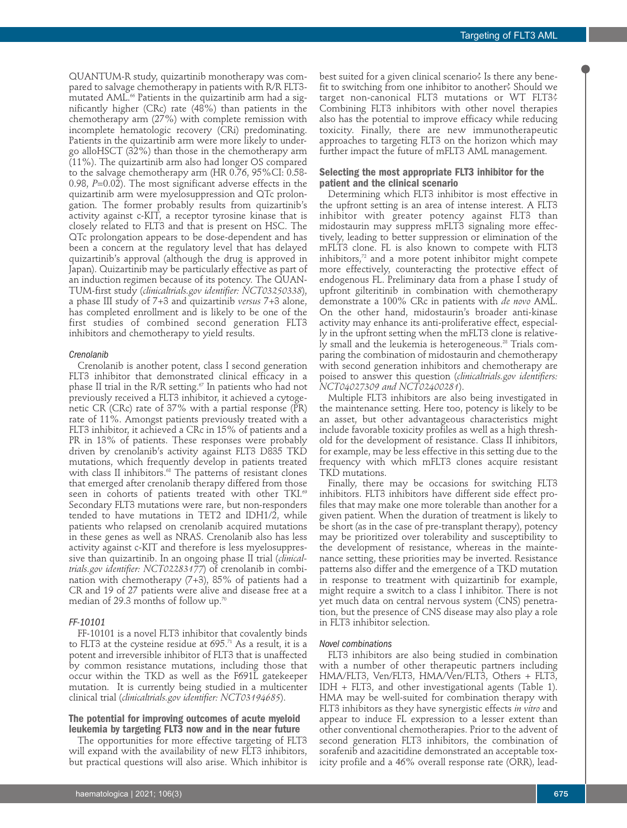QUANTUM-R study, quizartinib monotherapy was compared to salvage chemotherapy in patients with R/R FLT3 mutated AML. <sup>66</sup> Patients in the quizartinib arm had a significantly higher (CRc) rate (48%) than patients in the chemotherapy arm (27%) with complete remission with incomplete hematologic recovery (CRi) predominating. Patients in the quizartinib arm were more likely to undergo alloHSCT (32%) than those in the chemotherapy arm (11%). The quizartinib arm also had longer OS compared to the salvage chemotherapy arm (HR 0.76, 95%CI: 0.58- 0.98, *P=*0.02). The most significant adverse effects in the quizartinib arm were myelosuppression and QTc prolongation. The former probably results from quizartinib's activity against c-KIT, a receptor tyrosine kinase that is closely related to FLT3 and that is present on HSC. The QTc prolongation appears to be dose-dependent and has been a concern at the regulatory level that has delayed quizartinib's approval (although the drug is approved in Japan). Quizartinib may be particularly effective as part of an induction regimen because of its potency. The QUAN-TUM-first study (*clinicaltrials.gov identifier: NCT03250338*), a phase III study of 7+3 and quizartinib *versus* 7+3 alone, has completed enrollment and is likely to be one of the first studies of combined second generation FLT3 inhibitors and chemotherapy to yield results.

#### *Crenolanib*

Crenolanib is another potent, class I second generation FLT3 inhibitor that demonstrated clinical efficacy in a phase II trial in the R/R setting. <sup>67</sup> In patients who had not previously received a FLT3 inhibitor, it achieved a cytogenetic CR (CRc) rate of 37% with a partial response (PR) rate of 11%. Amongst patients previously treated with a FLT3 inhibitor, it achieved a CRc in 15% of patients and a PR in 13% of patients. These responses were probably driven by crenolanib's activity against FLT3 D835 TKD mutations, which frequently develop in patients treated with class II inhibitors. <sup>68</sup> The patterns of resistant clones that emerged after crenolanib therapy differed from those seen in cohorts of patients treated with other TKI. 69 Secondary FLT3 mutations were rare, but non-responders tended to have mutations in TET2 and IDH1/2, while patients who relapsed on crenolanib acquired mutations in these genes as well as NRAS. Crenolanib also has less activity against c-KIT and therefore is less myelosuppressive than quizartinib. In an ongoing phase II trial (*clinicaltrials.gov identifier: NCT02283177*) of crenolanib in combination with chemotherapy (7+3), 85% of patients had a CR and 19 of 27 patients were alive and disease free at a median of 29.3 months of follow up. $^{\prime\prime}$ 

## *FF-10101*

FF-10101 is a novel FLT3 inhibitor that covalently binds to FLT3 at the cysteine residue at 695. <sup>71</sup> As a result, it is a potent and irreversible inhibitor of FLT3 that is unaffected by common resistance mutations, including those that occur within the TKD as well as the F691L gatekeeper mutation. It is currently being studied in a multicenter clinical trial (*clinicaltrials.gov identifier: NCT03194685*).

# **The potential for improving outcomes of acute myeloid leukemia by targeting FLT3 now and in the near future**

The opportunities for more effective targeting of FLT3 will expand with the availability of new FLT3 inhibitors, but practical questions will also arise. Which inhibitor is best suited for a given clinical scenario? Is there any benefit to switching from one inhibitor to another? Should we target non-canonical FLT3 mutations or WT FLT3? Combining FLT3 inhibitors with other novel therapies also has the potential to improve efficacy while reducing toxicity. Finally, there are new immunotherapeutic approaches to targeting FLT3 on the horizon which may further impact the future of mFLT3 AML management.

# **Selecting the most appropriate FLT3 inhibitor for the patient and the clinical scenario**

Determining which FLT3 inhibitor is most effective in the upfront setting is an area of intense interest. A FLT3 inhibitor with greater potency against FLT3 than midostaurin may suppress mFLT3 signaling more effectively, leading to better suppression or elimination of the mFLT3 clone. FL is also known to compete with FLT3 inhibitors, <sup>72</sup> and a more potent inhibitor might compete more effectively, counteracting the protective effect of endogenous FL. Preliminary data from a phase I study of upfront gilteritinib in combination with chemotherapy demonstrate a 100% CRc in patients with *de novo* AML. On the other hand, midostaurin's broader anti-kinase activity may enhance its anti-proliferative effect, especially in the upfront setting when the mFLT3 clone is relatively small and the leukemia is heterogeneous. <sup>28</sup> Trials comparing the combination of midostaurin and chemotherapy with second generation inhibitors and chemotherapy are poised to answer this question (*clinicaltrials.gov identifiers: NCT04027309 and NCT02400281*).

Multiple FLT3 inhibitors are also being investigated in the maintenance setting. Here too, potency is likely to be an asset, but other advantageous characteristics might include favorable toxicity profiles as well as a high threshold for the development of resistance. Class II inhibitors, for example, may be less effective in this setting due to the frequency with which mFLT3 clones acquire resistant TKD mutations.

Finally, there may be occasions for switching FLT3 inhibitors. FLT3 inhibitors have different side effect profiles that may make one more tolerable than another for a given patient. When the duration of treatment is likely to be short (as in the case of pre-transplant therapy), potency may be prioritized over tolerability and susceptibility to the development of resistance, whereas in the maintenance setting, these priorities may be inverted. Resistance patterns also differ and the emergence of a TKD mutation in response to treatment with quizartinib for example, might require a switch to a class I inhibitor. There is not yet much data on central nervous system (CNS) penetration, but the presence of CNS disease may also play a role in FLT3 inhibitor selection.

# *Novel combinations*

FLT3 inhibitors are also being studied in combination with a number of other therapeutic partners including HMA/FLT3, Ven/FLT3, HMA/Ven/FLT3, Others + FLT3, IDH + FLT3, and other investigational agents (Table 1). HMA may be well-suited for combination therapy with FLT3 inhibitors as they have synergistic effects *in vitro* and appear to induce FL expression to a lesser extent than other conventional chemotherapies. Prior to the advent of second generation FLT3 inhibitors, the combination of sorafenib and azacitidine demonstrated an acceptable toxicity profile and a 46% overall response rate (ORR), lead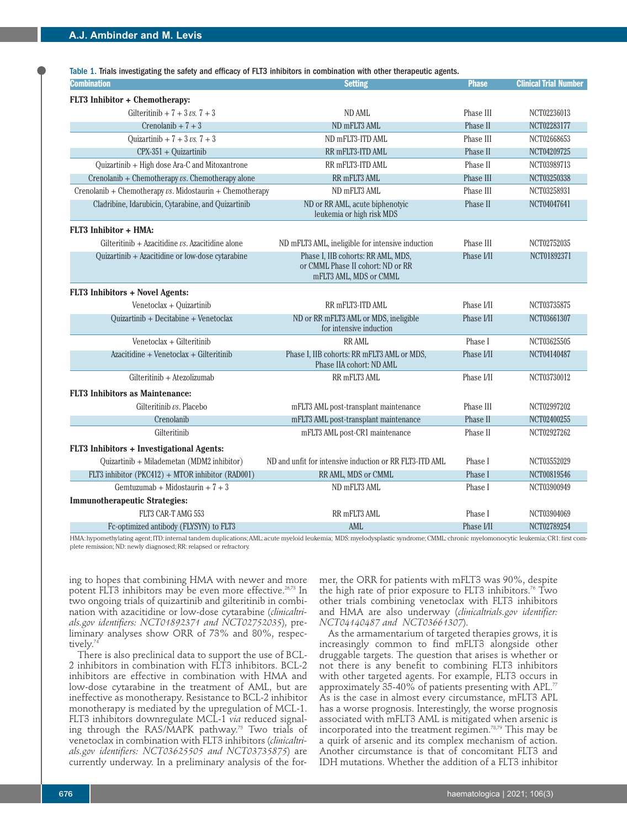Table 1. Trials investigating the safety and efficacy of FLT3 inhibitors in combination with other therapeutic agents.

| Combination                                                | <b>Setting</b>                                                         | <b>Phase</b>     | <b>Clinical Trial Number</b> |
|------------------------------------------------------------|------------------------------------------------------------------------|------------------|------------------------------|
| FLT3 Inhibitor + Chemotherapy:                             |                                                                        |                  |                              |
| Gilteritinib + $7 + 3 \text{ vs. } 7 + 3$                  | ND AML                                                                 | Phase III        | NCT02236013                  |
| $Crenolanib + 7 + 3$                                       | ND mFLT3 AML                                                           | Phase II         | NCT02283177                  |
| Ouizartinib + $7 + 3$ vs. $7 + 3$                          | ND mFLT3-ITD AML                                                       | Phase III        | NCT02668653                  |
| $CPX-351 + Quizartinib$                                    | RR mFLT3-ITD AML                                                       | Phase II         | NCT04209725                  |
| Quizartinib + High dose Ara-C and Mitoxantrone             | RR mFLT3-ITD AML                                                       | Phase II         | NCT03989713                  |
| Crenolanib + Chemotherapy $\nu s$ . Chemotherapy alone     | RR mFLT3 AML                                                           | Phase III        | NCT03250338                  |
| Crenolanib + Chemotherapy $vs.$ Midostaurin + Chemotherapy | ND mFLT3 AML                                                           | Phase III        | NCT03258931                  |
| Cladribine, Idarubicin, Cytarabine, and Quizartinib        | ND or RR AML, acute biphenotyic<br>leukemia or high risk MDS           | Phase II         | NCT04047641                  |
| FLT3 Inhibitor + HMA:                                      |                                                                        |                  |                              |
| Gilteritinib + Azacitidine $\nu s$ . Azacitidine alone     | ND mFLT3 AML, ineligible for intensive induction                       | Phase III        | NCT02752035                  |
| Quizartinib + Azacitidine or low-dose cytarabine           | Phase I, IIB cohorts: RR AML, MDS,                                     | Phase I/II       | NCT01892371                  |
|                                                            | or CMML Phase II cohort: ND or RR<br>mFLT3 AML, MDS or CMML            |                  |                              |
| FLT3 Inhibitors + Novel Agents:                            |                                                                        |                  |                              |
| Venetoclax + Quizartinib                                   | RR mFLT3-ITD AML                                                       | Phase I/II       | NCT03735875                  |
| Quizartinib + Decitabine + Venetoclax                      | ND or RR mFLT3 AML or MDS, ineligible<br>for intensive induction       | Phase I/II       | NCT03661307                  |
| Venetoclax + Gilteritinib                                  | <b>RR AML</b>                                                          | Phase I          | NCT03625505                  |
| Azacitidine + Venetoclax + Gilteritinib                    | Phase I, IIB cohorts: RR mFLT3 AML or MDS,<br>Phase IIA cohort: ND AML | Phase <i>VII</i> | NCT04140487                  |
| Gilteritinib + Atezolizumab                                | RR mFLT3 AML                                                           | Phase I/II       | NCT03730012                  |
| <b>FLT3</b> Inhibitors as Maintenance:                     |                                                                        |                  |                              |
| Gilteritinib vs. Placebo                                   | mFLT3 AML post-transplant maintenance                                  | Phase III        | NCT02997202                  |
| Crenolanib                                                 | mFLT3 AML post-transplant maintenance                                  | Phase II         | NCT02400255                  |
| Gilteritinib                                               | mFLT3 AML post-CR1 maintenance                                         | Phase II         | NCT02927262                  |
| FLT3 Inhibitors + Investigational Agents:                  |                                                                        |                  |                              |
| Quizartinib + Milademetan (MDM2 inhibitor)                 | ND and unfit for intensive induction or RR FLT3-ITD AML                | Phase I          | NCT03552029                  |
| FLT3 inhibitor (PKC412) + MTOR inhibitor (RAD001)          | RR AML, MDS or CMML                                                    | Phase I          | NCT00819546                  |
| Gemtuzumab + Midostaurin + $7 + 3$                         | ND mFLT3 AML                                                           | Phase I          | NCT03900949                  |
| <b>Immunotherapeutic Strategies:</b>                       |                                                                        |                  |                              |
| FLT3 CAR-T AMG 553                                         | RR mFLT3 AML                                                           | Phase I          | NCT03904069                  |
| Fc-optimized antibody (FLYSYN) to FLT3                     | AML                                                                    | Phase I/II       | NCT02789254                  |

HMA:hypomethylating agent;ITD:internal tandem duplications;AML:acute myeloid leukemia; MDS:myelodysplastic syndrome;CMML:chronic myelomonocytic leukemia;CR1:first complete remission; ND: newly diagnosed; RR: relapsed or refractory.

ing to hopes that combining HMA with newer and more potent FLT3 inhibitors may be even more effective. 26,73 In two ongoing trials of quizartinib and gilteritinib in combination with azacitidine or low-dose cytarabine (*clinicaltrials.gov identifiers: NCT01892371 and NCT02752035*), preliminary analyses show ORR of 73% and 80%, respectively. 74

There is also preclinical data to support the use of BCL-2 inhibitors in combination with FLT3 inhibitors. BCL-2 inhibitors are effective in combination with HMA and low-dose cytarabine in the treatment of AML, but are ineffective as monotherapy. Resistance to BCL-2 inhibitor monotherapy is mediated by the upregulation of MCL-1. FLT3 inhibitors downregulate MCL-1 *via* reduced signaling through the RAS/MAPK pathway. <sup>75</sup> Two trials of venetoclax in combination with FLT3 inhibitors (*clinicaltrials.gov identifiers: NCT03625505 and NCT03735875*) are currently underway. In a preliminary analysis of the former, the ORR for patients with mFLT3 was 90%, despite the high rate of prior exposure to FLT3 inhibitors. <sup>76</sup> Two other trials combining venetoclax with FLT3 inhibitors and HMA are also underway (*clinicaltrials.gov identifier: NCT04140487 and NCT03661307*).

As the armamentarium of targeted therapies grows, it is increasingly common to find mFLT3 alongside other druggable targets. The question that arises is whether or not there is any benefit to combining FLT3 inhibitors with other targeted agents. For example, FLT3 occurs in approximately 35-40% of patients presenting with APL. $^\eta$ As is the case in almost every circumstance, mFLT3 APL has a worse prognosis. Interestingly, the worse prognosis associated with mFLT3 AML is mitigated when arsenic is incorporated into the treatment regimen. 78,79 This may be a quirk of arsenic and its complex mechanism of action. Another circumstance is that of concomitant FLT3 and IDH mutations. Whether the addition of a FLT3 inhibitor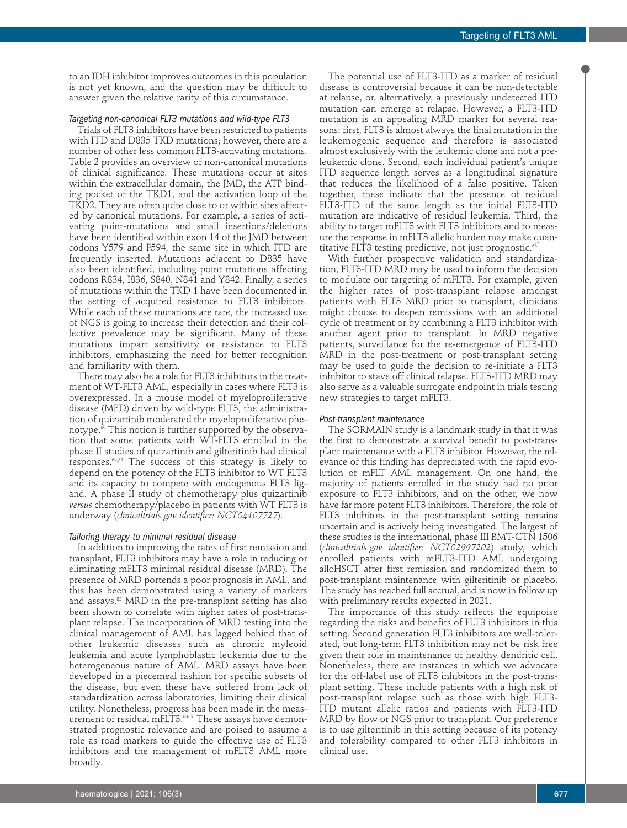to an IDH inhibitor improves outcomes in this population is not yet known, and the question may be difficult to answer given the relative rarity of this circumstance.

## *Targeting non-canonical FLT3 mutations and wild-type FLT3*

Trials of FLT3 inhibitors have been restricted to patients with ITD and D835 TKD mutations; however, there are a number of other less common FLT3-activating mutations. Table 2 provides an overview of non-canonical mutations of clinical significance. These mutations occur at sites within the extracellular domain, the JMD, the ATP binding pocket of the TKD1, and the activation loop of the TKD2. They are often quite close to or within sites affected by canonical mutations. For example, a series of activating point-mutations and small insertions/deletions have been identified within exon 14 of the JMD between codons Y579 and F594, the same site in which ITD are frequently inserted. Mutations adjacent to D835 have also been identified, including point mutations affecting codons R834, I836, S840, N841 and Y842. Finally, a series of mutations within the TKD 1 have been documented in the setting of acquired resistance to FLT3 inhibitors. While each of these mutations are rare, the increased use of NGS is going to increase their detection and their collective prevalence may be significant. Many of these mutations impart sensitivity or resistance to FLT3 inhibitors, emphasizing the need for better recognition and familiarity with them.

There may also be a role for FLT3 inhibitors in the treatment of WT-FLT3 AML, especially in cases where FLT3 is overexpressed. In a mouse model of myeloproliferative disease (MPD) driven by wild-type FLT3, the administration of quizartinib moderated the myeloproliferative phenotype. <sup>80</sup> This notion is further supported by the observation that some patients with WT-FLT3 enrolled in the phase II studies of quizartinib and gilteritinib had clinical responses. 64,81 The success of this strategy is likely to depend on the potency of the FLT3 inhibitor to WT FLT3 and its capacity to compete with endogenous FLT3 ligand. A phase II study of chemotherapy plus quizartinib *versus* chemotherapy/placebo in patients with WT FLT3 is underway (*clinicaltrials.gov identifier: NCT04107727*).

## *Tailoring therapy to minimal residual disease*

In addition to improving the rates of first remission and transplant, FLT3 inhibitors may have a role in reducing or eliminating mFLT3 minimal residual disease (MRD). The presence of MRD portends a poor prognosis in AML, and this has been demonstrated using a variety of markers and assays. <sup>82</sup> MRD in the pre-transplant setting has also been shown to correlate with higher rates of post-transplant relapse. The incorporation of MRD testing into the clinical management of AML has lagged behind that of other leukemic diseases such as chronic myleoid leukemia and acute lymphoblastic leukemia due to the heterogeneous nature of AML. MRD assays have been developed in a piecemeal fashion for specific subsets of the disease, but even these have suffered from lack of standardization across laboratories, limiting their clinical utility. Nonetheless, progress has been made in the measurement of residual mFLT3. 83-86 These assays have demonstrated prognostic relevance and are poised to assume a role as road markers to guide the effective use of FLT3 inhibitors and the management of mFLT3 AML more broadly.

The potential use of FLT3-ITD as a marker of residual disease is controversial because it can be non-detectable at relapse, or, alternatively, a previously undetected ITD mutation can emerge at relapse. However, a FLT3-ITD mutation is an appealing MRD marker for several reasons: first, FLT3 is almost always the final mutation in the leukemogenic sequence and therefore is associated almost exclusively with the leukemic clone and not a preleukemic clone. Second, each individual patient's unique ITD sequence length serves as a longitudinal signature that reduces the likelihood of a false positive. Taken together, these indicate that the presence of residual FLT3-ITD of the same length as the initial FLT3-ITD mutation are indicative of residual leukemia. Third, the ability to target mFLT3 with FLT3 inhibitors and to measure the response in mFLT3 allelic burden may make quantitative FLT3 testing predictive, not just prognostic. 63

With further prospective validation and standardization, FLT3-ITD MRD may be used to inform the decision to modulate our targeting of mFLT3. For example, given the higher rates of post-transplant relapse amongst patients with FLT3 MRD prior to transplant, clinicians might choose to deepen remissions with an additional cycle of treatment or by combining a FLT3 inhibitor with another agent prior to transplant. In MRD negative patients, surveillance for the re-emergence of FLT3-ITD MRD in the post-treatment or post-transplant setting may be used to guide the decision to re-initiate a FLT3 inhibitor to stave off clinical relapse. FLT3-ITD MRD may also serve as a valuable surrogate endpoint in trials testing new strategies to target mFLT3.

## *Post-transplant maintenance*

The SORMAIN study is a landmark study in that it was the first to demonstrate a survival benefit to post-transplant maintenance with a FLT3 inhibitor. However, the relevance of this finding has depreciated with the rapid evolution of mFLT AML management. On one hand, the majority of patients enrolled in the study had no prior exposure to FLT3 inhibitors, and on the other, we now have far more potent FLT3 inhibitors. Therefore, the role of FLT3 inhibitors in the post-transplant setting remains uncertain and is actively being investigated. The largest of these studies is the international, phase III BMT-CTN 1506 (*clinicaltrials.gov identifier: NCT02997202*) study, which enrolled patients with mFLT3-ITD AML undergoing alloHSCT after first remission and randomized them to post-transplant maintenance with gilteritinib or placebo. The study has reached full accrual, and is now in follow up with preliminary results expected in 2021.

The importance of this study reflects the equipoise regarding the risks and benefits of FLT3 inhibitors in this setting. Second generation FLT3 inhibitors are well-tolerated, but long-term FLT3 inhibition may not be risk free given their role in maintenance of healthy dendritic cell. Nonetheless, there are instances in which we advocate for the off-label use of FLT3 inhibitors in the post-transplant setting. These include patients with a high risk of post-transplant relapse such as those with high FLT3- ITD mutant allelic ratios and patients with FLT3-ITD MRD by flow or NGS prior to transplant. Our preference is to use gilteritinib in this setting because of its potency and tolerability compared to other FLT3 inhibitors in clinical use.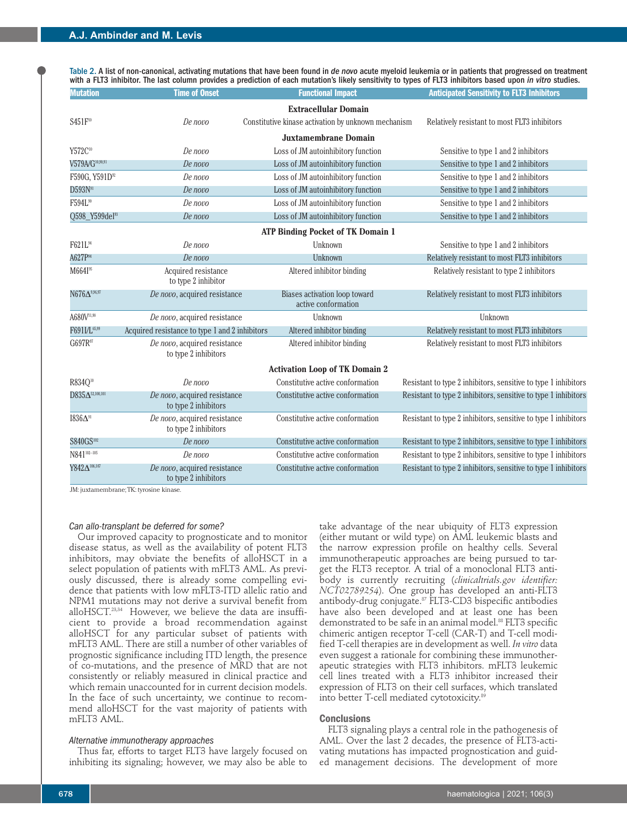Table 2. A list of non-canonical, activating mutations that have been found in *de novo* acute myeloid leukemia or in patients that progressed on treatment with a FLT3 inhibitor. The last column provides a prediction of each mutation's likely sensitivity to types of FLT3 inhibitors based upon *in vitro* studies.

| <b>Mutation</b>                | <b>Time of Onset</b>                                 | <b>Functional Impact</b>                                    | <b>Anticipated Sensitivity to FLT3 Inhibitors</b>              |  |
|--------------------------------|------------------------------------------------------|-------------------------------------------------------------|----------------------------------------------------------------|--|
|                                |                                                      | <b>Extracellular Domain</b>                                 |                                                                |  |
| S451F <sup>10</sup>            | De novo                                              | Constitutive kinase activation by unknown mechanism         | Relatively resistant to most FLT3 inhibitors                   |  |
|                                |                                                      | <b>Juxtamembrane Domain</b>                                 |                                                                |  |
| Y572C10                        | De novo                                              | Loss of JM autoinhibitory function                          | Sensitive to type 1 and 2 inhibitors                           |  |
| V579A/G <sup>10,90,91</sup>    | De novo                                              | Loss of JM autoinhibitory function                          | Sensitive to type 1 and 2 inhibitors                           |  |
| F590G, Y591D <sup>92</sup>     | De novo                                              | Loss of JM autoinhibitory function                          | Sensitive to type 1 and 2 inhibitors                           |  |
| $D593N^{91}$                   | De novo                                              | Loss of JM autoinhibitory function                          | Sensitive to type 1 and 2 inhibitors                           |  |
| F594L <sup>90</sup>            | De novo                                              | Loss of JM autoinhibitory function                          | Sensitive to type 1 and 2 inhibitors                           |  |
| Q598_Y599del <sup>93</sup>     | De novo                                              | Loss of JM autoinhibitory function                          | Sensitive to type 1 and 2 inhibitors                           |  |
|                                |                                                      | <b>ATP Binding Pocket of TK Domain 1</b>                    |                                                                |  |
| F621L <sup>94</sup>            | De novo                                              | Unknown                                                     | Sensitive to type 1 and 2 inhibitors                           |  |
| A627P <sup>94</sup>            | De novo                                              | Unknown                                                     | Relatively resistant to most FLT3 inhibitors                   |  |
| M664I <sup>95</sup>            | Acquired resistance<br>to type 2 inhibitor           | Altered inhibitor binding                                   | Relatively resistant to type 2 inhibitors                      |  |
| ${\rm N676 \Delta ^{9,96,97}}$ | De novo, acquired resistance                         | <b>Biases activation loop toward</b><br>active conformation | Relatively resistant to most FLT3 inhibitors                   |  |
| A680V11,98                     | De novo, acquired resistance                         | Unknown                                                     | Unknown                                                        |  |
| F691I/L65,99                   | Acquired resistance to type 1 and 2 inhibitors       | Altered inhibitor binding                                   | Relatively resistant to most FLT3 inhibitors                   |  |
| G697R97                        | De novo, acquired resistance<br>to type 2 inhibitors | Altered inhibitor binding                                   | Relatively resistant to most FLT3 inhibitors                   |  |
|                                |                                                      | <b>Activation Loop of TK Domain 2</b>                       |                                                                |  |
| R834Q <sup>10</sup>            | De novo                                              | Constitutive active conformation                            | Resistant to type 2 inhibitors, sensitive to type 1 inhibitors |  |
| $D835\Delta^{52,100,101}$      | De novo, acquired resistance<br>to type 2 inhibitors | Constitutive active conformation                            | Resistant to type 2 inhibitors, sensitive to type 1 inhibitors |  |
| $1836\Delta$ <sup>91</sup>     | De novo, acquired resistance<br>to type 2 inhibitors | Constitutive active conformation                            | Resistant to type 2 inhibitors, sensitive to type 1 inhibitors |  |
| S840GS <sup>102</sup>          | De novo                                              | Constitutive active conformation                            | Resistant to type 2 inhibitors, sensitive to type 1 inhibitors |  |
| N841102-105                    | De novo                                              | Constitutive active conformation                            | Resistant to type 2 inhibitors, sensitive to type 1 inhibitors |  |
| Y842△ <sup>106,107</sup>       | De novo, acquired resistance<br>to type 2 inhibitors | Constitutive active conformation                            | Resistant to type 2 inhibitors, sensitive to type 1 inhibitors |  |

JM: juxtamembrane;TK: tyrosine kinase.

# *Can allo-transplant be deferred for some?*

Our improved capacity to prognosticate and to monitor disease status, as well as the availability of potent FLT3 inhibitors, may obviate the benefits of alloHSCT in a select population of patients with mFLT3 AML. As previously discussed, there is already some compelling evidence that patients with low mFLT3-ITD allelic ratio and NPM1 mutations may not derive a survival benefit from alloHSCT. 23,34 However, we believe the data are insufficient to provide a broad recommendation against alloHSCT for any particular subset of patients with mFLT3 AML. There are still a number of other variables of prognostic significance including ITD length, the presence of co-mutations, and the presence of MRD that are not consistently or reliably measured in clinical practice and which remain unaccounted for in current decision models. In the face of such uncertainty, we continue to recommend alloHSCT for the vast majority of patients with mFLT3 AML.

### *Alternative immunotherapy approaches*

Thus far, efforts to target FLT3 have largely focused on inhibiting its signaling; however, we may also be able to

take advantage of the near ubiquity of FLT3 expression (either mutant or wild type) on AML leukemic blasts and the narrow expression profile on healthy cells. Several immunotherapeutic approaches are being pursued to target the FLT3 receptor. A trial of a monoclonal FLT3 antibody is currently recruiting (*clinicaltrials.gov identifier: NCT02789254*). One group has developed an anti-FLT3 antibody-drug conjugate. <sup>87</sup> FLT3-CD3 bispecific antibodies have also been developed and at least one has been demonstrated to be safe in an animal model. <sup>88</sup> FLT3 specific chimeric antigen receptor T-cell (CAR-T) and T-cell modified T-cell therapies are in development as well. *In vitro* data even suggest a rationale for combining these immunotherapeutic strategies with FLT3 inhibitors. mFLT3 leukemic cell lines treated with a FLT3 inhibitor increased their expression of FLT3 on their cell surfaces, which translated into better T-cell mediated cytotoxicity. 89

#### **Conclusions**

FLT3 signaling plays a central role in the pathogenesis of AML. Over the last 2 decades, the presence of FLT3-activating mutations has impacted prognostication and guided management decisions. The development of more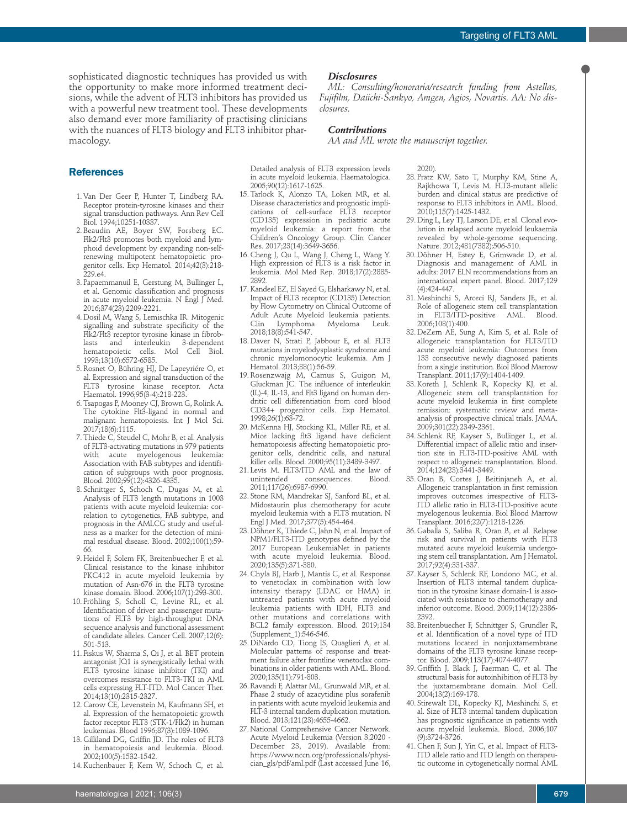sophisticated diagnostic techniques has provided us with the opportunity to make more informed treatment decisions, while the advent of FLT3 inhibitors has provided us with a powerful new treatment tool. These developments also demand ever more familiarity of practising clinicians with the nuances of FLT3 biology and FLT3 inhibitor pharmacology.

# **References**

- 1.Van Der Geer P, Hunter T, Lindberg RA. Receptor protein-tyrosine kinases and their signal transduction pathways. Ann Rev Cell Biol. 1994;10251-10337.
- 2. Beaudin AE, Boyer SW, Forsberg EC. Flk2/Flt3 promotes both myeloid and lymphoid development by expanding non-selfrenewing multipotent hematopoietic progenitor cells. Exp Hematol. 2014;42(3):218-229.e4.
- 3. Papaemmanuil E, Gerstung M, Bullinger L, et al. Genomic classification and prognosis in acute myeloid leukemia. N Engl J Med. 2016;374(23):2209-2221.
- 4. Dosil M, Wang S, Lemischka IR. Mitogenic signalling and substrate specificity of the Flk2/Flt3 receptor tyrosine kinase in fibrob-<br>lasts and interleukin 3-dependent lasts and interleukin 3-dependent hematopoietic cells. Mol Cell Biol. 1993;13(10):6572-6585.
- 5. Rosnet O, Bühring HJ, De Lapeyriére O, et al. Expression and signal transduction of the FLT3 tyrosine kinase receptor. Acta Haematol. 1996;95(3-4):218-223.
- 6.Tsapogas P, Mooney CJ, Brown G, Rolink A. The cytokine Flt3-ligand in normal and malignant hematopoiesis. Int J Mol Sci. 2017;18(6):1115.
- 7.Thiede C, Steudel C, Mohr B, et al. Analysis of FLT3-activating mutations in 979 patients with acute myelogenous leukemia: Association with FAB subtypes and identification of subgroups with poor prognosis. Blood. 2002;99(12):4326-4335.
- 8. Schnittger S, Schoch C, Dugas M, et al. Analysis of FLT3 length mutations in 1003 patients with acute myeloid leukemia: correlation to cytogenetics, FAB subtype, and prognosis in the AMLCG study and usefulness as a marker for the detection of minimal residual disease. Blood. 2002;100(1):59- 66.
- 9. Heidel F, Solem FK, Breitenbuecher F, et al. Clinical resistance to the kinase inhibitor PKC412 in acute myeloid leukemia by mutation of Asn-676 in the FLT3 tyrosine kinase domain. Blood. 2006;107(1):293-300.
- 10. Fröhling S, Scholl C, Levine RL, et al. Identification of driver and passenger mutations of FLT3 by high-throughput DNA sequence analysis and functional assessment of candidate alleles. Cancer Cell. 2007;12(6): 501-513.
- 11. Fiskus W, Sharma S, Qi J, et al. BET protein antagonist JQ1 is synergistically lethal with FLT3 tyrosine kinase inhibitor (TKI) and overcomes resistance to FLT3-TKI in AML cells expressing FLT-ITD. Mol Cancer Ther. 2014;13(10):2315-2327.
- 12. Carow CE, Levenstein M, Kaufmann SH, et al. Expression of the hematopoietic growth factor receptor FLT3 (STK-1/Flk2) in human leukemias. Blood 1996;87(3):1089-1096.
- 13. Gilliland DG, Griffin JD. The roles of FLT3 in hematopoiesis and leukemia. Blood. 2002;100(5):1532-1542.
- 14.Kuchenbauer F, Kern W, Schoch C, et al.

## *Disclosures*

*ML: Consulting/honoraria/research funding from Astellas, Fujifilm, Daiichi-Sankyo, Amgen, Agios, Novartis. AA: No disclosures.*

## *Contributions*

*AA and ML wrote the manuscript together.*

Detailed analysis of FLT3 expression levels in acute myeloid leukemia. Haematologica. 2005;90(12):1617-1625.

- 15.Tarlock K, Alonzo TA, Loken MR, et al. Disease characteristics and prognostic implications of cell-surface FLT3 receptor (CD135) expression in pediatric acute myeloid leukemia: a report from the Children's Oncology Group. Clin Cancer Res. 2017;23(14):3649-3656.
- 16. Cheng J, Qu L, Wang J, Cheng L, Wang Y. High expression of FLT3 is a risk factor in leukemia. Mol Med Rep. 2018;17(2):2885- 2892.
- 17.Kandeel EZ, El Sayed G, Elsharkawy N, et al. Impact of FLT3 receptor (CD135) Detection by Flow Cytometry on Clinical Outcome of Adult Acute Myeloid leukemia patients.<br>Clin Lymphoma Myeloma Leuk. Lymphoma Myeloma Leuk. 2018;18(8):541-547.
- 18. Daver N, Strati P, Jabbour E, et al. FLT3 mutations in myelodysplastic syndrome and chronic myelomonocytic leukemia. Am J Hematol. 2013;88(1):56-59.
- 19. Rosenzwajg M, Camus S, Guigon M, Gluckman JC. The influence of interleukin (IL)-4, IL-13, and Flt3 ligand on human dendritic cell differentiation from cord blood CD34+ progenitor cells. Exp Hematol. 1998;26(1):63-72.
- 20. McKenna HJ, Stocking KL, Miller RE, et al. Mice lacking flt3 ligand have deficient hematopoiesis affecting hematopoietic progenitor cells, dendritic cells, and natural killer cells. Blood. 2000;95(11):3489-3497.
- 21. Levis M. FLT3/ITD AML and the law of unintended consequences. Blood. 2011;117(26):6987-6990.
- 22. Stone RM, Mandrekar SJ, Sanford BL, et al. Midostaurin plus chemotherapy for acute myeloid leukemia with a FLT3 mutation. N Engl J Med. 2017;377(5):454-464.
- 23. Döhner K, Thiede C, Jahn N, et al. Impact of NPM1/FLT3-ITD genotypes defined by the 2017 European LeukemiaNet in patients with acute myeloid leukemia. Blood. 2020;135(5):371-380.
- 24. Chyla BJ, Harb J, Mantis C, et al. Response to venetoclax in combination with low intensity therapy (LDAC or HMA) in untreated patients with acute myeloid leukemia patients with IDH, FLT3 and other mutations and correlations with BCL2 family expression. Blood. 2019;134 (Supplement\_1):546-546.
- 25. DiNardo CD, Tiong IS, Quaglieri A, et al. Molecular patterns of response and treatment failure after frontline venetoclax combinations in older patients with AML. Blood. 2020;135(11):791-803.
- 26. Ravandi F, Alattar ML, Grunwald MR, et al. Phase 2 study of azacytidine plus sorafenib in patients with acute myeloid leukemia and FLT-3 internal tandem duplication mutation. Blood. 2013;121(23):4655-4662.
- 27. National Comprehensive Cancer Network. Acute Myeloid Leukemia (Version 3.2020 - December 23, 2019). Available from: https://www.nccn.org/professionals/physician\_gls/pdf/aml.pdf (Last accessed June 16,

2020).

- 28. Pratz KW, Sato T, Murphy KM, Stine A, Rajkhowa T, Levis M. FLT3-mutant allelic burden and clinical status are predictive of response to FLT3 inhibitors in AML. Blood. 2010;115(7):1425-1432.
- 29. Ding L, Ley TJ, Larson DE, et al. Clonal evolution in relapsed acute myeloid leukaemia revealed by whole-genome sequencing. Nature. 2012;481(7382):506-510.
- 30. Döhner H, Estey E, Grimwade D, et al. Diagnosis and management of AML in adults: 2017 ELN recommendations from an international expert panel. Blood. 2017;129 (4):424-447.
- 31. Meshinchi S, Arceci RJ, Sanders JE, et al. Role of allogeneic stem cell transplantation in FLT3/ITD-positive AML. Blood. 2006;108(1):400.
- 32. DeZern AE, Sung A, Kim S, et al. Role of allogeneic transplantation for FLT3/ITD acute myeloid leukemia: Outcomes from 133 consecutive newly diagnosed patients from a single institution. Biol Blood Marrow Transplant. 2011;17(9):1404-1409.
- 33.Koreth J, Schlenk R, Kopecky KJ, et al. Allogeneic stem cell transplantation for acute myeloid leukemia in first complete remission: systematic review and metaanalysis of prospective clinical trials. JAMA. 2009;301(22):2349-2361.
- 34. Schlenk RF, Kayser S, Bullinger L, et al. Differential impact of allelic ratio and insertion site in FLT3-ITD-positive AML with respect to allogeneic transplantation. Blood. 2014;124(23):3441-3449.
- 35. Oran B, Cortes J, Beitinjaneh A, et al. Allogeneic transplantation in first remission improves outcomes irrespective of FLT3- ITD allelic ratio in FLT3-ITD-positive acute myelogenous leukemia. Biol Blood Marrow Transplant. 2016;22(7):1218-1226.
- 36. Gaballa S, Saliba R, Oran B, et al. Relapse risk and survival in patients with FLT3 mutated acute myeloid leukemia undergoing stem cell transplantation. Am J Hematol. 2017;92(4):331-337.
- 37.Kayser S, Schlenk RF, Londono MC, et al. Insertion of FLT3 internal tandem duplication in the tyrosine kinase domain-1 is associated with resistance to chemotherapy and inferior outcome. Blood. 2009;114(12):2386- 2392.
- 38. Breitenbuecher F, Schnittger S, Grundler R, et al. Identification of a novel type of ITD mutations located in nonjuxtamembrane domains of the FLT3 tyrosine kinase receptor. Blood. 2009;113(17):4074-4077.
- 39. Griffith J, Black J, Faerman C, et al. The structural basis for autoinhibition of FLT3 by the juxtamembrane domain. Mol Cell. 2004;13(2):169-178.
- 40. Stirewalt DL, Kopecky KJ, Meshinchi S, et al. Size of FLT3 internal tandem duplication has prognostic significance in patients with acute myeloid leukemia. Blood. 2006;107 (9):3724-3726.
- 41. Chen F, Sun J, Yin C, et al. Impact of FLT3- ITD allele ratio and ITD length on therapeutic outcome in cytogenetically normal AML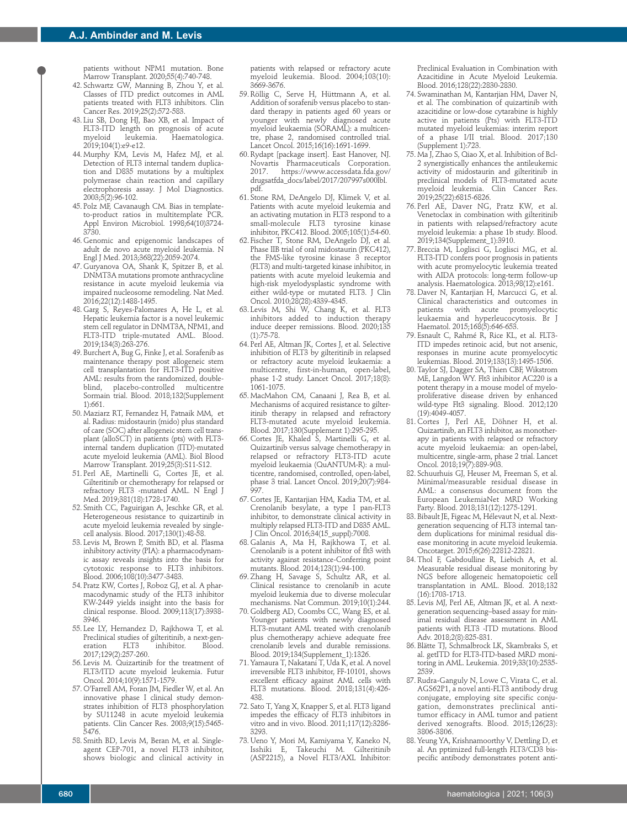patients without NPM1 mutation. Bone Marrow Transplant. 2020;55(4):740-748.

- 42. Schwartz GW, Manning B, Zhou Y, et al. Classes of ITD predict outcomes in AML patients treated with FLT3 inhibitors. Clin Cancer Res. 2019;25(2):572-583.
- 43. Liu SB, Dong HJ, Bao XB, et al. Impact of FLT3-ITD length on prognosis of acute<br>myeloid leukemia. Haematologica. Haematologica. 2019;104(1):e9-e12.
- 44. Murphy KM, Levis M, Hafez MJ, et al. Detection of FLT3 internal tandem duplication and D835 mutations by a multiplex polymerase chain reaction and capillary electrophoresis assay. J Mol Diagnostics. 2003;5(2):96-102.
- 45. Polz MF, Cavanaugh CM. Bias in templateto-product ratios in multitemplate PCR. Appl Environ Microbiol. 1998;64(10)3724-3730.
- 46. Genomic and epigenomic landscapes of adult de novo acute myeloid leukemia. N Engl J Med. 2013;368(22):2059-2074.
- 47. Guryanova OA, Shank K, Spitzer B, et al. DNMT3A mutations promote anthracycline resistance in acute myeloid leukemia via impaired nucleosome remodeling. Nat Med. 2016;22(12):1488-1495.
- 48. Garg S, Reyes-Palomares A, He L, et al. Hepatic leukemia factor is a novel leukemic stem cell regulator in DNMT3A, NPM1, and FLT3-ITD triple-mutated AML. Blood. 2019;134(3):263-276.
- 49. Burchert A, Bug G, Finke J, et al. Sorafenib as maintenance therapy post allogeneic stem cell transplantation for FLT3-ITD positive AML: results from the randomized, doubleblind, placebo-controlled multicentre Sormain trial. Blood. 2018;132(Supplement 1):661.
- 50. Maziarz RT, Fernandez H, Patnaik MM, et al. Radius: midostaurin (mido) plus standard of care (SOC) after allogeneic stem cell transplant (alloSCT) in patients (pts) with FLT3 internal tandem duplication (ITD)-mutated acute myeloid leukemia (AML). Biol Blood Marrow Transplant. 2019;25(3):S11-S12.
- 51. Perl AE, Martinelli G, Cortes JE, et al. Gilteritinib or chemotherapy for relapsed or refractory FLT3 -mutated AML. N Engl J Med. 2019;381(18):1728-1740.
- 52. Smith CC, Paguirigan A, Jeschke GR, et al. Heterogeneous resistance to quizartinib in acute myeloid leukemia revealed by singlecell analysis. Blood. 2017;130(1):48-58.
- 53. Levis M, Brown P, Smith BD, et al. Plasma inhibitory activity (PIA): a pharmacodynamic assay reveals insights into the basis for cytotoxic response to FLT3 inhibitors. Blood. 2006;108(10):3477-3483.
- 54. Pratz KW, Cortes J, Roboz GJ, et al. A pharmacodynamic study of the FLT3 inhibitor KW-2449 yields insight into the basis for clinical response. Blood. 2009;113(17):3938- 3946.
- 55. Lee LY, Hernandez D, Rajkhowa T, et al. Preclinical studies of gilteritinib, a next-gen-<br>eration FLT3 inhibitor. Blood.  $int$ inhibitor. 2017;129(2):257-260.
- 56. Levis M. Quizartinib for the treatment of FLT3/ITD acute myeloid leukemia. Futur Oncol. 2014;10(9):1571-1579.
- 57. O'Farrell AM, Foran JM, Fiedler W, et al. An innovative phase I clinical study demonstrates inhibition of FLT3 phosphorylation<br>by SU11248 in acute myeloid leukemia by SU11248 in acute myeloid leukemia patients. Clin Cancer Res. 2003;9(15):5465- 5476.
- 58. Smith BD, Levis M, Beran M, et al. Singleagent CEP-701, a novel FLT3 inhibitor, shows biologic and clinical activity in

patients with relapsed or refractory acute myeloid leukemia. Blood. 2004;103(10): 3669-3676.

- 59. Röllig C, Serve H, Hüttmann A, et al. Addition of sorafenib versus placebo to standard therapy in patients aged 60 years or younger with newly diagnosed acute myeloid leukaemia (SORAML): a multicentre, phase 2, randomised controlled trial. Lancet Oncol. 2015;16(16):1691-1699.
- 60. Rydapt [package insert]. East Hanover, NJ. Novartis Pharmaceuticals Corporation. https://www.accessdata.fda.gov/ drugsatfda\_docs/label/2017/207997s000lbl. pdf.
- 61. Stone RM, DeAngelo DJ, Klimek V, et al. Patients with acute myeloid leukemia and an activating mutation in FLT3 respond to a small-molecule FLT3 tyrosine kinase inhibitor, PKC412. Blood. 2005;105(1):54-60.
- 62. Fischer T, Stone RM, DeAngelo DJ, et al. Phase IIB trial of oral midostaurin (PKC412), the FMS-like tyrosine kinase 3 receptor (FLT3) and multi-targeted kinase inhibitor, in patients with acute myeloid leukemia and high-risk myelodysplastic syndrome with either wild-type or mutated FLT3. J Clin Oncol. 2010;28(28):4339-4345.
- 63. Levis M, Shi W, Chang K, et al. FLT3 inhibitors added to induction therapy induce deeper remissions. Blood. 2020;135 (1):75-78.
- 64. Perl AE, Altman JK, Cortes J, et al. Selective inhibition of FLT3 by gilteritinib in relapsed or refractory acute myeloid leukaemia: a multicentre, first-in-human, open-label, phase 1-2 study. Lancet Oncol. 2017;18(8): 1061-1075.
- 65. MacMahon CM, Canaani J, Rea B, et al. Mechanisms of acquired resistance to gilteritinib therapy in relapsed and refractory FLT3-mutated acute myeloid leukemia. Blood. 2017;130(Supplement 1):295-295.
- 66. Cortes JE, Khaled S, Martinelli G, et al. Quizartinib versus salvage chemotherapy in relapsed or refractory FLT3-ITD acute myeloid leukaemia (QuANTUM-R): a multicentre, randomised, controlled, open-label, phase 3 trial. Lancet Oncol. 2019;20(7):984- 997.
- 67. Cortes JE, Kantarjian HM, Kadia TM, et al. Crenolanib besylate, a type I pan-FLT3 inhibitor, to demonstrate clinical activity in multiply relapsed FLT3-ITD and D835 AML. J Clin Oncol. 2016;34(15\_suppl):7008.
- 68. Galanis A, Ma H, Rajkhowa T, et al. Crenolanib is a potent inhibitor of flt3 with activity against resistance-Conferring point mutants. Blood. 2014;123(1):94-100.
- 69.Zhang H, Savage S, Schultz AR, et al. Clinical resistance to crenolanib in acute myeloid leukemia due to diverse molecular mechanisms. Nat Commun. 2019;10(1):244.
- 70. Goldberg AD, Coombs CC, Wang ES, et al. Younger patients with newly diagnosed FLT3-mutant AML treated with crenolanib plus chemotherapy achieve adequate free crenolanib levels and durable remissions. Blood. 2019;134(Supplement\_1):1326.
- 71.Yamaura T, Nakatani T, Uda K, et al. A novel irreversible FLT3 inhibitor, FF-10101, shows excellent efficacy against AML cells with FLT3 mutations. Blood. 2018;131(4):426- 438.
- 72. Sato T, Yang X, Knapper S, et al. FLT3 ligand impedes the efficacy of FLT3 inhibitors in vitro and in vivo. Blood. 2011;117(12):3286- 3293.
- 73. Ueno Y, Mori M, Kamiyama Y, Kaneko N, Isshiki E, Takeuchi M. Gilteritinib (ASP2215), a Novel FLT3/AXL Inhibitor:

Preclinical Evaluation in Combination with Azacitidine in Acute Myeloid Leukemia. Blood. 2016;128(22):2830-2830.

- 74. Swaminathan M, Kantarjian HM, Daver N, et al. The combination of quizartinib with azacitidine or low-dose cytarabine is highly active in patients (Pts) with FLT3-ITD mutated myeloid leukemias: interim report of a phase I/II trial. Blood. 2017;130 (Supplement 1):723.
- 75. Ma J, Zhao S, Qiao X, et al. Inhibition of Bcl-2 synergistically enhances the antileukemic activity of midostaurin and gilteritinib in preclinical models of FLT3-mutated acute myeloid leukemia. Clin Cancer Res. 2019;25(22):6815-6826.
- 76. Perl AE, Daver NG, Pratz KW, et al. Venetoclax in combination with gilteritinib in patients with relapsed/refractory acute myeloid leukemia: a phase 1b study. Blood. 2019;134(Supplement\_1):3910.
- 77. Breccia M, Loglisci G, Loglisci MG, et al. FLT3-ITD confers poor prognosis in patients with acute promyelocytic leukemia treated with AIDA protocols: long-term follow-up analysis. Haematologica. 2013;98(12):e161.
- 78. Daver N, Kantarjian H, Marcucci G, et al. Clinical characteristics and outcomes in patients with acute promyelocytic leukaemia and hyperleucocytosis. Br J Haematol. 2015;168(5):646-653.
- 79. Esnault C, Rahmé R, Rice KL, et al. FLT3- ITD impedes retinoic acid, but not arsenic, responses in murine acute promyelocytic leukemias. Blood. 2019;133(13):1495-1506.
- 80.Taylor SJ, Dagger SA, Thien CBF, Wikstrom ME, Langdon WY. Flt3 inhibitor AC220 is a potent therapy in a mouse model of myeloproliferative disease driven by enhanced wild-type Flt3 signaling. Blood. 2012;120 (19):4049-4057.
- 81. Cortes J, Perl AE, Döhner H, et al. Quizartinib, an FLT3 inhibitor, as monotherapy in patients with relapsed or refractory acute myeloid leukaemia: an open-label, multicentre, single-arm, phase 2 trial. Lancet Oncol. 2018;19(7):889-903.
- 82. Schuurhuis GJ, Heuser M, Freeman S, et al. Minimal/measurable residual disease in AML: a consensus document from the European LeukemiaNet MRD Working Party. Blood. 2018;131(12):1275-1291.
- 83. Bibault JE, Figeac M, Hélevaut N, et al. Nextgeneration sequencing of FLT3 internal tandem duplications for minimal residual disease monitoring in acute myeloid leukemia. Oncotarget. 2015;6(26):22812-22821.
- 84.Thol F, Gabdoulline R, Liebich A, et al. Measurable residual disease monitoring by NGS before allogeneic hematopoietic cell transplantation in AML. Blood. 2018;132 (16):1703-1713.
- 85. Levis MJ, Perl AE, Altman JK, et al. A nextgeneration sequencing–based assay for minimal residual disease assessment in AML patients with FLT3 -ITD mutations. Blood Adv. 2018;2(8):825-831.
- 86. Blätte TJ, Schmalbrock LK, Skambraks S, et al. getITD for FLT3-ITD-based MRD monitoring in AML. Leukemia. 2019;33(10):2535- 2539.
- 87. Rudra-Ganguly N, Lowe C, Virata C, et al. AGS62P1, a novel anti-FLT3 antibody drug conjugate, employing site specific conjugation, demonstrates preclinical antitumor efficacy in AML tumor and patient derived xenografts. Blood. 2015;126(23): 3806-3806.
- 88.Yeung YA, Krishnamoorthy V, Dettling D, et al. An pptimized full-length FLT3/CD3 bispecific antibody demonstrates potent anti-